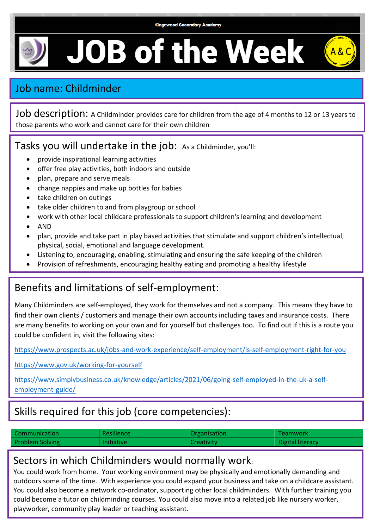

**JOB of the Week** 

# Job name: Childminder

Job description: A Childminder provides care for children from the age of 4 months to 12 or 13 years to those parents who work and cannot care for their own children

### Tasks you will undertake in the job: As a Childminder, you'll:

- provide inspirational learning activities
- offer free play activities, both indoors and outside
- plan, prepare and serve meals
- change nappies and make up bottles for babies
- take children on outings
- take older children to and from playgroup or school
- work with other local childcare professionals to support children's learning and development
- AND
- plan, provide and take part in play based activities that stimulate and support children's intellectual, physical, social, emotional and language development.
- Listening to, encouraging, enabling, stimulating and ensuring the safe keeping of the children
- Provision of refreshments, encouraging healthy eating and promoting a healthy lifestyle

### Benefits and limitations of self-employment:

Many Childminders are self-employed, they work for themselves and not a company. This means they have to find their own clients / customers and manage their own accounts including taxes and insurance costs. There are many benefits to working on your own and for yourself but challenges too. To find out if this is a route you could be confident in, visit the following sites:

<https://www.prospects.ac.uk/jobs-and-work-experience/self-employment/is-self-employment-right-for-you>

<https://www.gov.uk/working-for-yourself>

[https://www.simplybusiness.co.uk/knowledge/articles/2021/06/going-self-employed-in-the-uk-a-self](https://www.simplybusiness.co.uk/knowledge/articles/2021/06/going-self-employed-in-the-uk-a-self-employment-guide/)[employment-guide/](https://www.simplybusiness.co.uk/knowledge/articles/2021/06/going-self-employed-in-the-uk-a-self-employment-guide/)

# Skills required for this job (core competencies):

| Communication          | <b>Resilience</b> | Organisation | <b>Teamwork</b>  |
|------------------------|-------------------|--------------|------------------|
| <b>Problem Solving</b> | <b>Initiative</b> | Creativity   | Digital literacy |

#### Sectors in which Childminders would normally work:

You could work from home. Your working environment may be physically and emotionally demanding and outdoors some of the time. With experience you could expand your business and take on a childcare assistant. You could also become a network co-ordinator, supporting other local childminders. With further training you could become a tutor on childminding courses. You could also move into a related job like nursery worker, playworker, community play leader or teaching assistant.